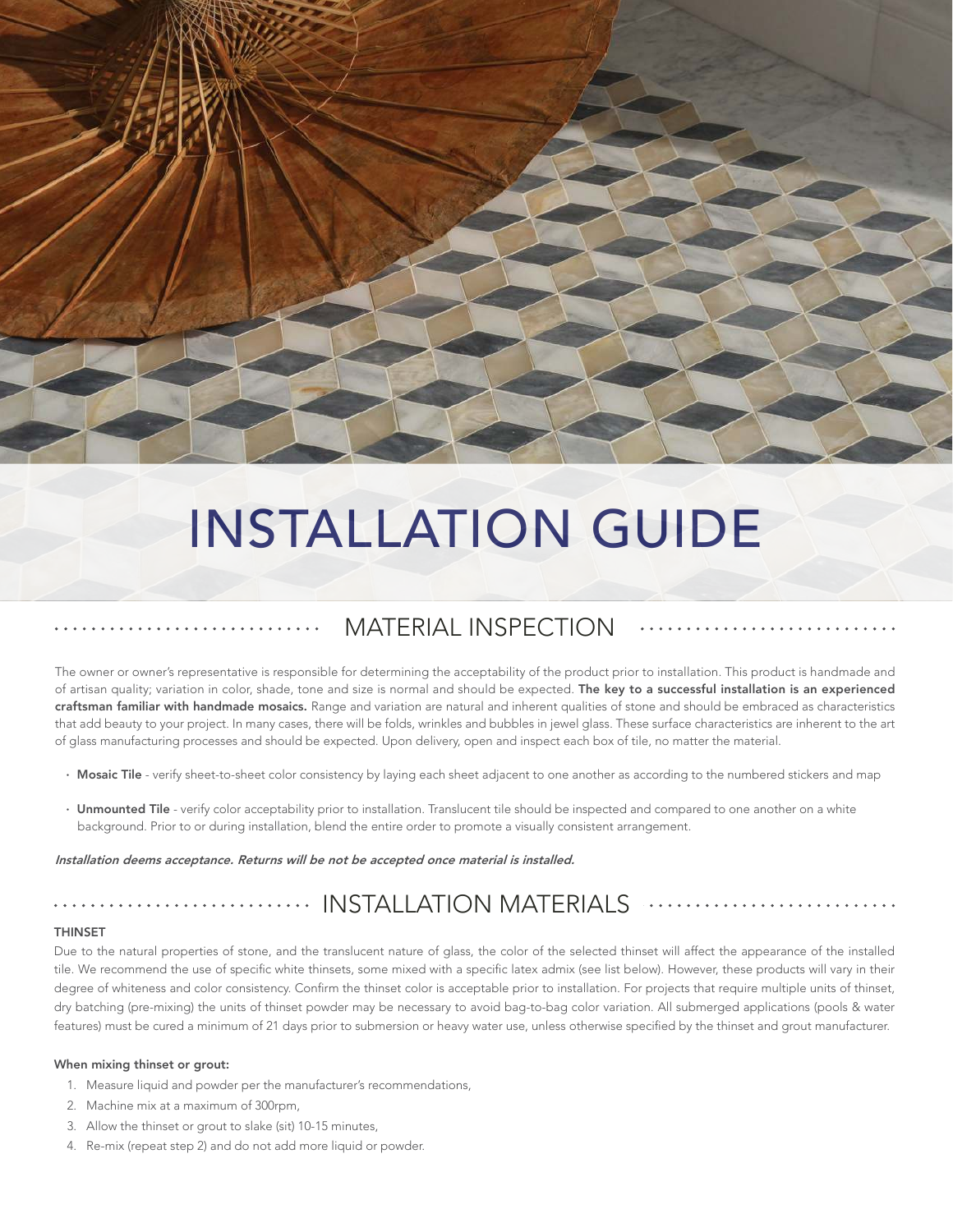

# INSTALLATION GUIDE

## MATERIAL INSPECTION

The owner or owner's representative is responsible for determining the acceptability of the product prior to installation. This product is handmade and of artisan quality; variation in color, shade, tone and size is normal and should be expected. The key to a successful installation is an experienced craftsman familiar with handmade mosaics. Range and variation are natural and inherent qualities of stone and should be embraced as characteristics that add beauty to your project. In many cases, there will be folds, wrinkles and bubbles in jewel glass. These surface characteristics are inherent to the art of glass manufacturing processes and should be expected. Upon delivery, open and inspect each box of tile, no matter the material.

- · Mosaic Tile verify sheet-to-sheet color consistency by laying each sheet adjacent to one another as according to the numbered stickers and map
- · Unmounted Tile verify color acceptability prior to installation. Translucent tile should be inspected and compared to one another on a white background. Prior to or during installation, blend the entire order to promote a visually consistent arrangement.

#### Installation deems acceptance. Returns will be not be accepted once material is installed.

### INSTALLATION MATERIALS

#### THINSET

Due to the natural properties of stone, and the translucent nature of glass, the color of the selected thinset will affect the appearance of the installed tile. We recommend the use of specific white thinsets, some mixed with a specific latex admix (see list below). However, these products will vary in their degree of whiteness and color consistency. Confirm the thinset color is acceptable prior to installation. For projects that require multiple units of thinset, dry batching (pre-mixing) the units of thinset powder may be necessary to avoid bag-to-bag color variation. All submerged applications (pools & water features) must be cured a minimum of 21 days prior to submersion or heavy water use, unless otherwise specified by the thinset and grout manufacturer.

#### When mixing thinset or grout:

- 1. Measure liquid and powder per the manufacturer's recommendations,
- 2. Machine mix at a maximum of 300rpm,
- 3. Allow the thinset or grout to slake (sit) 10-15 minutes,
- 4. Re-mix (repeat step 2) and do not add more liquid or powder.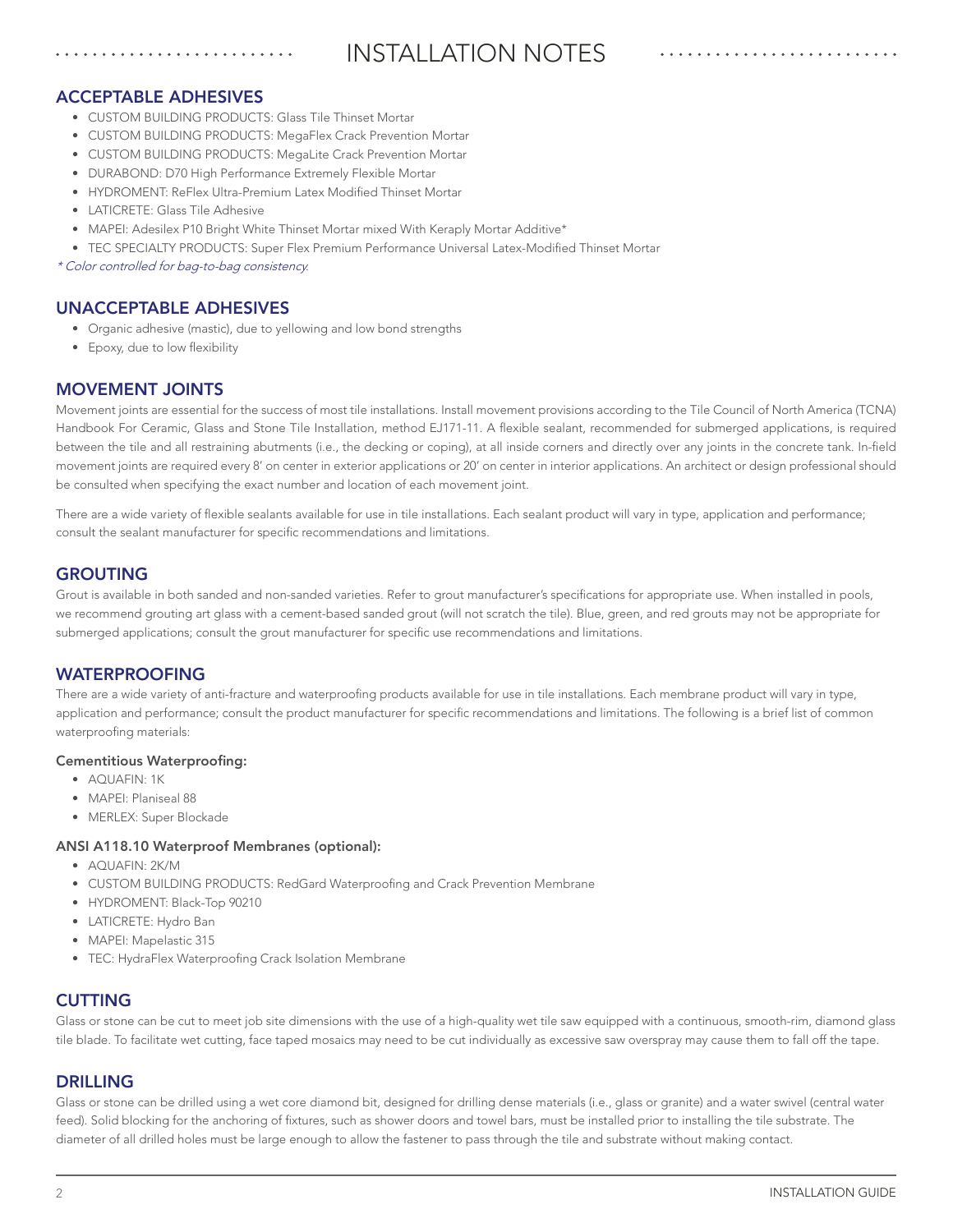# INSTALLATION NOTES

### ACCEPTABLE ADHESIVES

- CUSTOM BUILDING PRODUCTS: Glass Tile Thinset Mortar
- CUSTOM BUILDING PRODUCTS: MegaFlex Crack Prevention Mortar
- CUSTOM BUILDING PRODUCTS: MegaLite Crack Prevention Mortar
- DURABOND: D70 High Performance Extremely Flexible Mortar
- HYDROMENT: ReFlex Ultra-Premium Latex Modified Thinset Mortar
- LATICRETE: Glass Tile Adhesive
- MAPEI: Adesilex P10 Bright White Thinset Mortar mixed With Keraply Mortar Additive\*
- TEC SPECIALTY PRODUCTS: Super Flex Premium Performance Universal Latex-Modified Thinset Mortar

\* Color controlled for bag-to-bag consistency.

### UNACCEPTABLE ADHESIVES

- Organic adhesive (mastic), due to yellowing and low bond strengths
- Epoxy, due to low flexibility

### MOVEMENT JOINTS

Movement joints are essential for the success of most tile installations. Install movement provisions according to the Tile Council of North America (TCNA) Handbook For Ceramic, Glass and Stone Tile Installation, method EJ171-11. A flexible sealant, recommended for submerged applications, is required between the tile and all restraining abutments (i.e., the decking or coping), at all inside corners and directly over any joints in the concrete tank. In-field movement joints are required every 8' on center in exterior applications or 20' on center in interior applications. An architect or design professional should be consulted when specifying the exact number and location of each movement joint.

There are a wide variety of flexible sealants available for use in tile installations. Each sealant product will vary in type, application and performance; consult the sealant manufacturer for specific recommendations and limitations.

### GROUTING

Grout is available in both sanded and non-sanded varieties. Refer to grout manufacturer's specifications for appropriate use. When installed in pools, we recommend grouting art glass with a cement-based sanded grout (will not scratch the tile). Blue, green, and red grouts may not be appropriate for submerged applications; consult the grout manufacturer for specific use recommendations and limitations.

### WATERPROOFING

There are a wide variety of anti-fracture and waterproofing products available for use in tile installations. Each membrane product will vary in type, application and performance; consult the product manufacturer for specific recommendations and limitations. The following is a brief list of common waterproofing materials:

### Cementitious Waterproofing:

- AQUAFIN: 1K
- MAPEI: Planiseal 88
- MERLEX: Super Blockade

### ANSI A118.10 Waterproof Membranes (optional):

- AQUAFIN: 2K/M
- CUSTOM BUILDING PRODUCTS: RedGard Waterproofing and Crack Prevention Membrane
- HYDROMENT: Black-Top 90210
- LATICRETE: Hydro Ban
- MAPEI: Mapelastic 315
- TEC: HydraFlex Waterproofing Crack Isolation Membrane

### CUTTING

Glass or stone can be cut to meet job site dimensions with the use of a high-quality wet tile saw equipped with a continuous, smooth-rim, diamond glass tile blade. To facilitate wet cutting, face taped mosaics may need to be cut individually as excessive saw overspray may cause them to fall off the tape.

### DRILLING

Glass or stone can be drilled using a wet core diamond bit, designed for drilling dense materials (i.e., glass or granite) and a water swivel (central water feed). Solid blocking for the anchoring of fixtures, such as shower doors and towel bars, must be installed prior to installing the tile substrate. The diameter of all drilled holes must be large enough to allow the fastener to pass through the tile and substrate without making contact.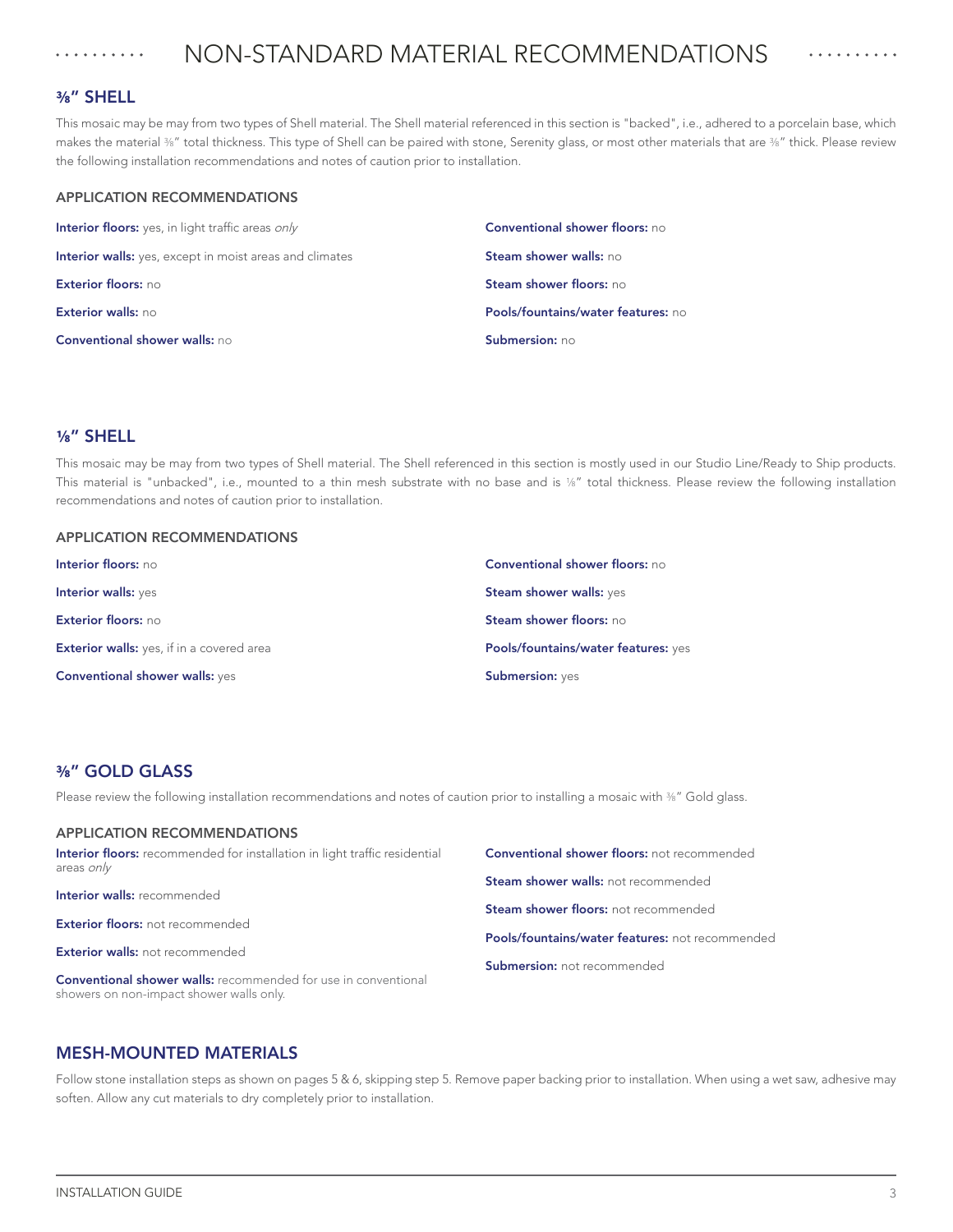#### NON-STANDARD MATERIAL RECOMMENDATIONS . . . . . . . . . . . . . . . . . . . .

### **3/8**" SHELL

This mosaic may be may from two types of Shell material. The Shell material referenced in this section is "backed", i.e., adhered to a porcelain base, which makes the material  $%$ " total thickness. This type of Shell can be paired with stone, Serenity glass, or most other materials that are  $%$ " thick. Please review the following installation recommendations and notes of caution prior to installation.

### APPLICATION RECOMMENDATIONS

| Interior floors: yes, in light traffic areas only              | <b>Conventional shower floors: no</b> |
|----------------------------------------------------------------|---------------------------------------|
| <b>Interior walls:</b> yes, except in moist areas and climates | <b>Steam shower walls: no</b>         |
| Exterior floors: no                                            | Steam shower floors: no               |
| Exterior walls: no                                             | Pools/fountains/water features: no    |
| <b>Conventional shower walls: no</b>                           | Submersion: no                        |

### **1/8**" SHELL

This mosaic may be may from two types of Shell material. The Shell referenced in this section is mostly used in our Studio Line/Ready to Ship products. This material is "unbacked", i.e., mounted to a thin mesh substrate with no base and is 1/8" total thickness. Please review the following installation recommendations and notes of caution prior to installation.

### APPLICATION RECOMMENDATIONS

| <b>Conventional shower walls: yes</b>            | <b>Submersion: yes</b>                                    |  |  |
|--------------------------------------------------|-----------------------------------------------------------|--|--|
| <b>Exterior walls:</b> yes, if in a covered area | Pools/fountains/water features: yes                       |  |  |
| Exterior floors: no                              | <b>Steam shower walls: yes</b><br>Steam shower floors: no |  |  |
| Interior walls: yes                              |                                                           |  |  |
| Interior floors: no                              | <b>Conventional shower floors: no</b>                     |  |  |

### **3/8**" GOLD GLASS

Please review the following installation recommendations and notes of caution prior to installing a mosaic with 36" Gold glass.

| <b>APPLICATION RECOMMENDATIONS</b>                                                              |                                                    |
|-------------------------------------------------------------------------------------------------|----------------------------------------------------|
| <b>Interior floors:</b> recommended for installation in light traffic residential<br>areas only | <b>Conventional shower floors:</b> not recommended |
| <b>Interior walls: recommended</b>                                                              | <b>Steam shower walls:</b> not recommended         |
|                                                                                                 | <b>Steam shower floors:</b> not recommended        |
| <b>Exterior floors: not recommended</b>                                                         | Pools/fountains/water features: not recommended    |
| <b>Exterior walls: not recommended</b>                                                          | <b>Submersion:</b> not recommended                 |

### MESH-MOUNTED MATERIALS

showers on non-impact shower walls only.

Conventional shower walls: recommended for use in conventional

APPLICATION RECOMMENDATIONS

Follow stone installation steps as shown on pages 5 & 6, skipping step 5. Remove paper backing prior to installation. When using a wet saw, adhesive may soften. Allow any cut materials to dry completely prior to installation.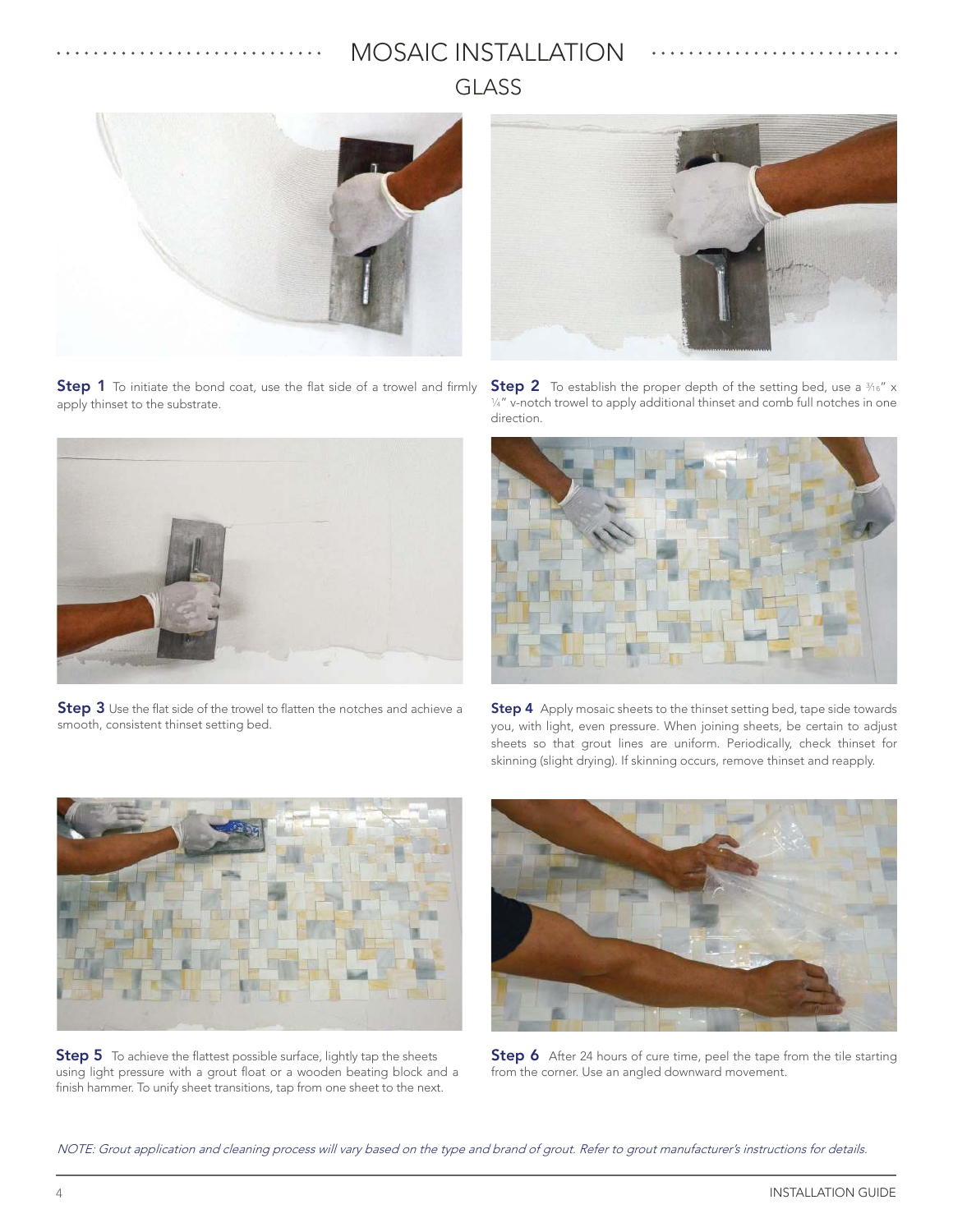# MOSAIC INSTALLATION GLASS



. . . . . . . . . . . . . . . . . . . .

**Step 1** To initiate the bond coat, use the flat side of a trowel and firmly apply thinset to the substrate.



Step 3 Use the flat side of the trowel to flatten the notches and achieve a smooth, consistent thinset setting bed.



**Step 2** To establish the proper depth of the setting bed, use a  $\frac{3}{16}$ " x  $\frac{1}{4}$ " v-notch trowel to apply additional thinset and comb full notches in one direction.



Step 4 Apply mosaic sheets to the thinset setting bed, tape side towards you, with light, even pressure. When joining sheets, be certain to adjust sheets so that grout lines are uniform. Periodically, check thinset for skinning (slight drying). If skinning occurs, remove thinset and reapply.



**Step 5** To achieve the flattest possible surface, lightly tap the sheets using light pressure with a grout float or a wooden beating block and a finish hammer. To unify sheet transitions, tap from one sheet to the next.



Step 6 After 24 hours of cure time, peel the tape from the tile starting from the corner. Use an angled downward movement.

NOTE: Grout application and cleaning process will vary based on the type and brand of grout. Refer to grout manufacturer's instructions for details.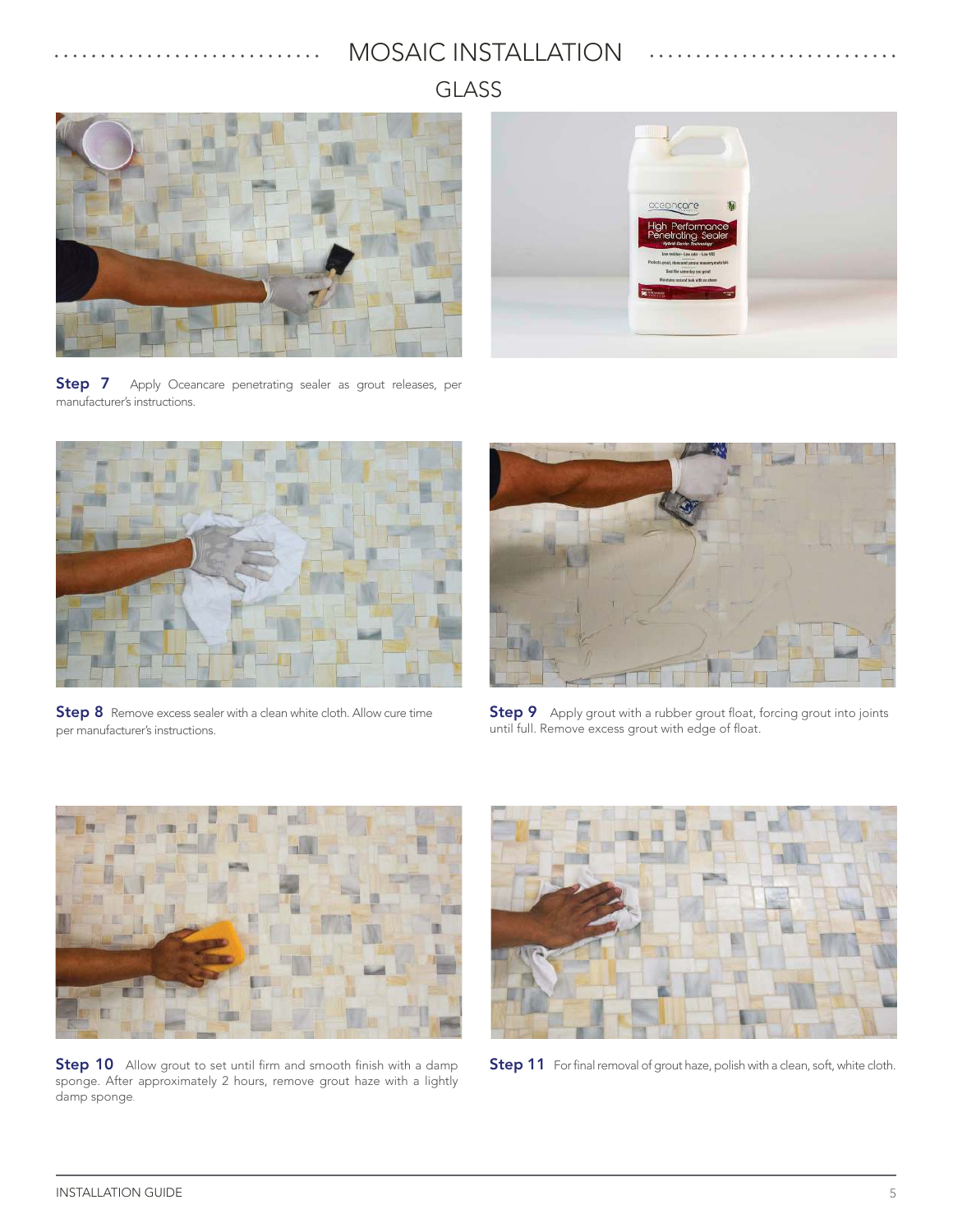# MOSAIC INSTALLATION

GLASS





Step 7 Apply Oceancare penetrating sealer as grout releases, per manufacturer's instructions.



Step 8 Remove excess sealer with a clean white cloth. Allow cure time per manufacturer's instructions.



Step 9 Apply grout with a rubber grout float, forcing grout into joints until full. Remove excess grout with edge of float.



**Step 10** Allow grout to set until firm and smooth finish with a damp sponge. After approximately 2 hours, remove grout haze with a lightly damp sponge.



Step 11 For final removal of grout haze, polish with a clean, soft, white cloth.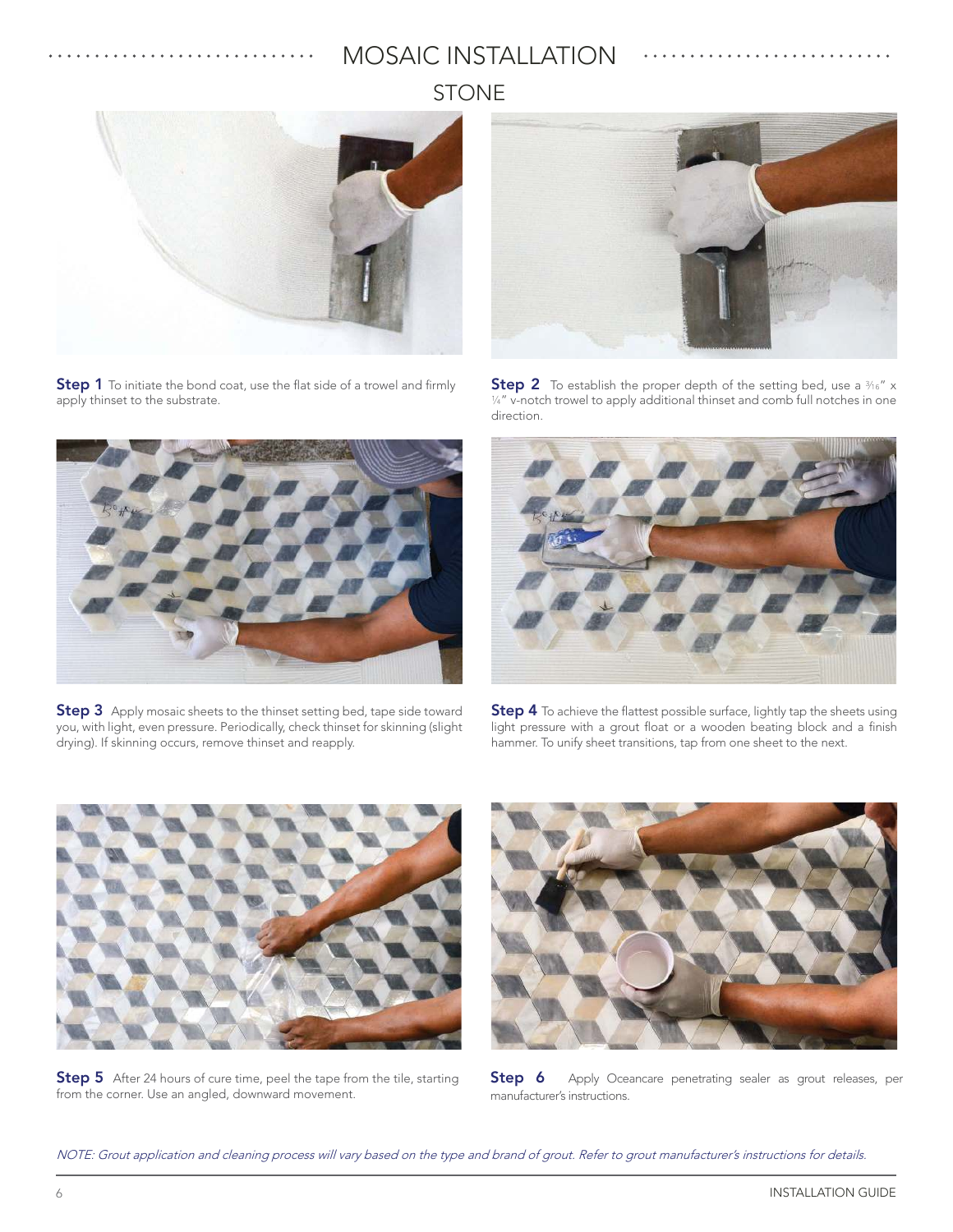# STONE MOSAIC INSTALLATION



**Step 1** To initiate the bond coat, use the flat side of a trowel and firmly apply thinset to the substrate.



**Step 3** Apply mosaic sheets to the thinset setting bed, tape side toward you, with light, even pressure. Periodically, check thinset for skinning (slight drying). If skinning occurs, remove thinset and reapply.



**Step 2** To establish the proper depth of the setting bed, use a  $\frac{3}{16}$ " x 1/4" v-notch trowel to apply additional thinset and comb full notches in one direction.



Step 4 To achieve the flattest possible surface, lightly tap the sheets using light pressure with a grout float or a wooden beating block and a finish hammer. To unify sheet transitions, tap from one sheet to the next.



**Step 5** After 24 hours of cure time, peel the tape from the tile, starting from the corner. Use an angled, downward movement.



Step 6 Apply Oceancare penetrating sealer as grout releases, per manufacturer's instructions.

NOTE: Grout application and cleaning process will vary based on the type and brand of grout. Refer to grout manufacturer's instructions for details.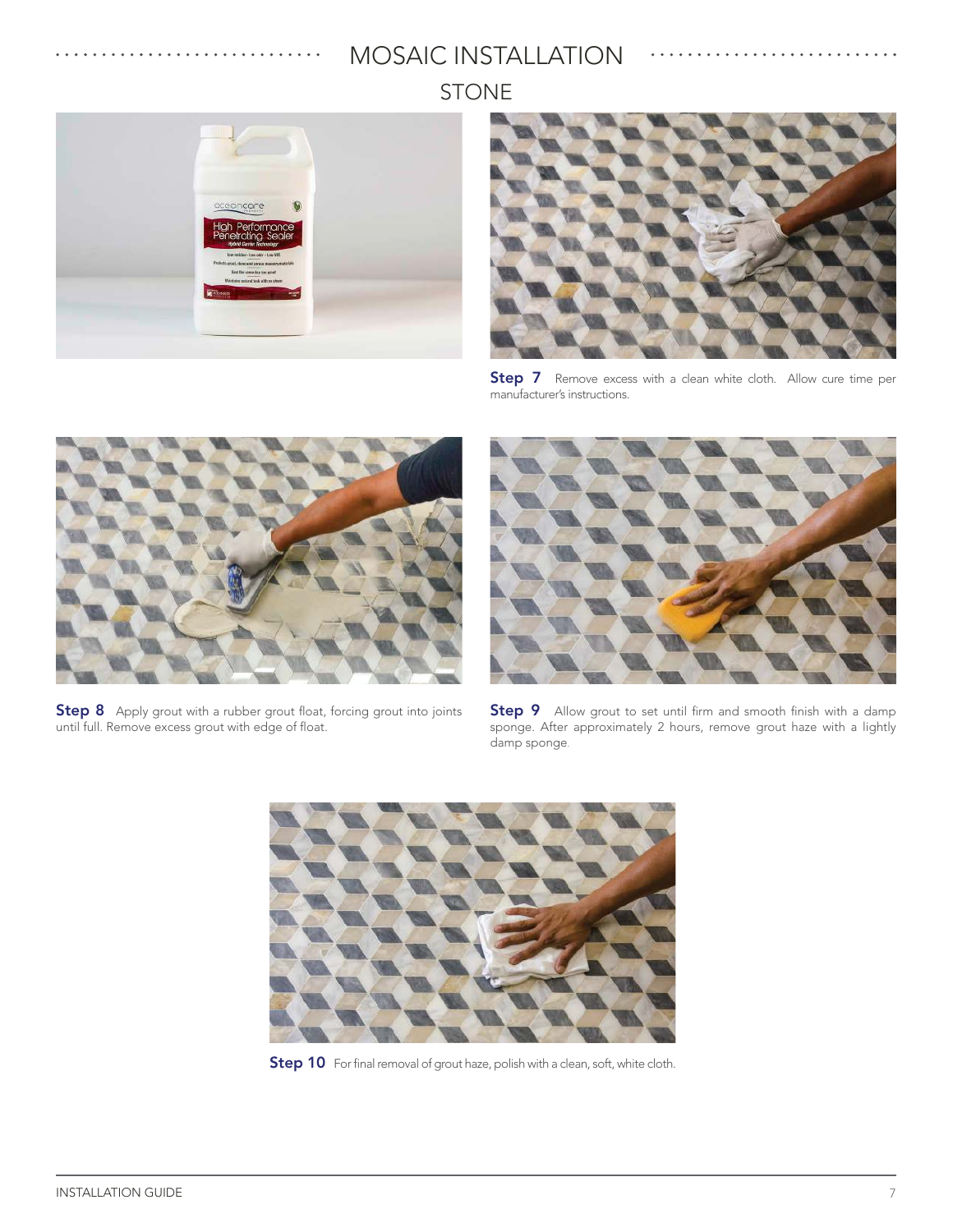STONE MOSAIC INSTALLATION





Step 7 Remove excess with a clean white cloth. Allow cure time per manufacturer's instructions.



Step 8 Apply grout with a rubber grout float, forcing grout into joints until full. Remove excess grout with edge of float.



Step 9 Allow grout to set until firm and smooth finish with a damp sponge. After approximately 2 hours, remove grout haze with a lightly damp sponge.



Step 10 For final removal of grout haze, polish with a clean, soft, white cloth.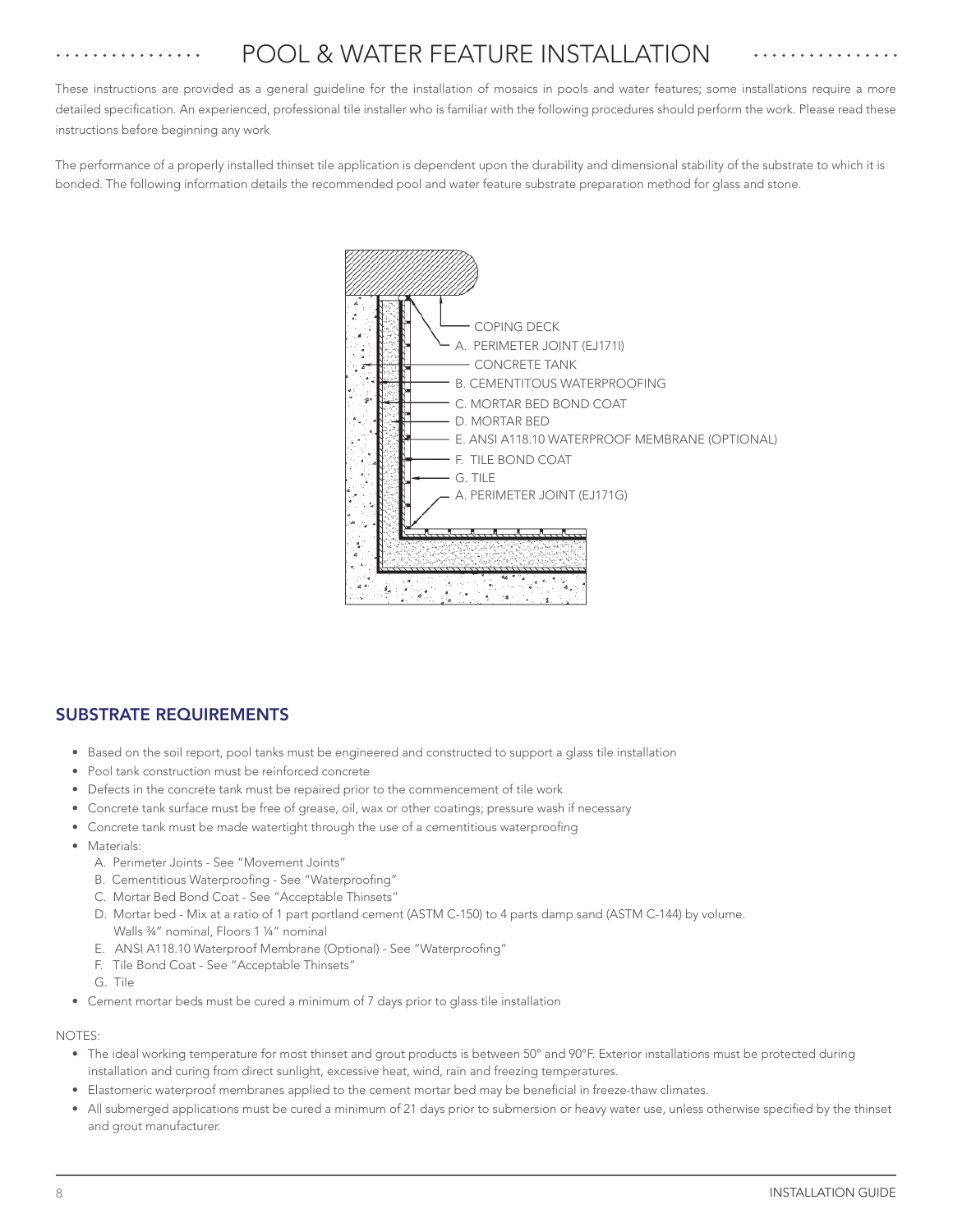# POOL & WATER FEATURE INSTALLATION

These instructions are provided as a general guideline for the installation of mosaics in pools and water features; some installations require a more detailed specification. An experienced, professional tile installer who is familiar with the following procedures should perform the work. Please read these instructions before beginning any work

The performance of a properly installed thinset tile application is dependent upon the durability and dimensional stability of the substrate to which it is bonded. The following information details the recommended pool and water feature substrate preparation method for glass and stone.



### SUBSTRATE REQUIREMENTS

- Based on the soil report, pool tanks must be engineered and constructed to support a glass tile installation
- Pool tank construction must be reinforced concrete
- Defects in the concrete tank must be repaired prior to the commencement of tile work
- Concrete tank surface must be free of grease, oil, wax or other coatings; pressure wash if necessary
- Concrete tank must be made watertight through the use of a cementitious waterproofing
- Materials:
	- A. Perimeter Joints See "Movement Joints"
	- B. Cementitious Waterproofing See "Waterproofing"
	- C. Mortar Bed Bond Coat See "Acceptable Thinsets"
	- D. Mortar bed Mix at a ratio of 1 part portland cement (ASTM C-150) to 4 parts damp sand (ASTM C-144) by volume. Walls ¾" nominal, Floors 1 ¼" nominal
	- E. ANSI A118.10 Waterproof Membrane (Optional) See "Waterproofing"
	- F. Tile Bond Coat See "Acceptable Thinsets"
	- G. Tile
- Cement mortar beds must be cured a minimum of 7 days prior to glass tile installation

### NOTES:

- The ideal working temperature for most thinset and grout products is between 50° and 90°F. Exterior installations must be protected during installation and curing from direct sunlight, excessive heat, wind, rain and freezing temperatures.
- Elastomeric waterproof membranes applied to the cement mortar bed may be beneficial in freeze-thaw climates.
- All submerged applications must be cured a minimum of 21 days prior to submersion or heavy water use, unless otherwise specified by the thinset and grout manufacturer.